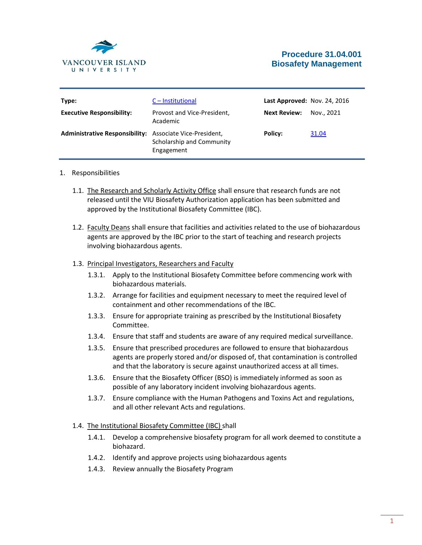

# **Procedure 31.04.001 Biosafety Management**

| Type:<br><b>Executive Responsibility:</b>                       | C – Institutional<br>Provost and Vice-President,<br>Academic | Last Approved: Nov. 24, 2016<br><b>Next Review:</b> | Nov., 2021 |
|-----------------------------------------------------------------|--------------------------------------------------------------|-----------------------------------------------------|------------|
| <b>Administrative Responsibility:</b> Associate Vice-President, | Scholarship and Community<br>Engagement                      | Policy:                                             | 31.04      |

### 1. Responsibilities

- 1.1. The Research and Scholarly Activity Office shall ensure that research funds are not released until the VIU Biosafety Authorization application has been submitted and approved by the Institutional Biosafety Committee (IBC).
- 1.2. Faculty Deans shall ensure that facilities and activities related to the use of biohazardous agents are approved by the IBC prior to the start of teaching and research projects involving biohazardous agents.

### 1.3. Principal Investigators, Researchers and Faculty

- 1.3.1. Apply to the Institutional Biosafety Committee before commencing work with biohazardous materials.
- 1.3.2. Arrange for facilities and equipment necessary to meet the required level of containment and other recommendations of the IBC.
- 1.3.3. Ensure for appropriate training as prescribed by the Institutional Biosafety Committee.
- 1.3.4. Ensure that staff and students are aware of any required medical surveillance.
- 1.3.5. Ensure that prescribed procedures are followed to ensure that biohazardous agents are properly stored and/or disposed of, that contamination is controlled and that the laboratory is secure against unauthorized access at all times.
- 1.3.6. Ensure that the Biosafety Officer (BSO) is immediately informed as soon as possible of any laboratory incident involving biohazardous agents.
- 1.3.7. Ensure compliance with the Human Pathogens and Toxins Act and regulations, and all other relevant Acts and regulations.

#### 1.4. The Institutional Biosafety Committee (IBC) shall

- 1.4.1. Develop a comprehensive biosafety program for all work deemed to constitute a biohazard.
- 1.4.2. Identify and approve projects using biohazardous agents
- 1.4.3. Review annually the Biosafety Program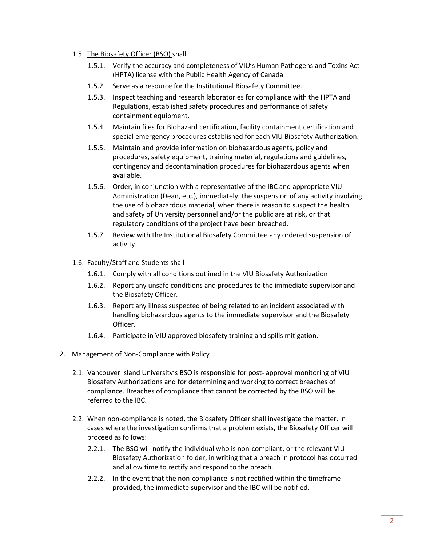## 1.5. The Biosafety Officer (BSO) shall

- 1.5.1. Verify the accuracy and completeness of VIU's Human Pathogens and Toxins Act (HPTA) license with the Public Health Agency of Canada
- 1.5.2. Serve as a resource for the Institutional Biosafety Committee.
- 1.5.3. Inspect teaching and research laboratories for compliance with the HPTA and Regulations, established safety procedures and performance of safety containment equipment.
- 1.5.4. Maintain files for Biohazard certification, facility containment certification and special emergency procedures established for each VIU Biosafety Authorization.
- 1.5.5. Maintain and provide information on biohazardous agents, policy and procedures, safety equipment, training material, regulations and guidelines, contingency and decontamination procedures for biohazardous agents when available.
- 1.5.6. Order, in conjunction with a representative of the IBC and appropriate VIU Administration (Dean, etc.), immediately, the suspension of any activity involving the use of biohazardous material, when there is reason to suspect the health and safety of University personnel and/or the public are at risk, or that regulatory conditions of the project have been breached.
- 1.5.7. Review with the Institutional Biosafety Committee any ordered suspension of activity.
- 1.6. Faculty/Staff and Students shall
	- 1.6.1. Comply with all conditions outlined in the VIU Biosafety Authorization
	- 1.6.2. Report any unsafe conditions and procedures to the immediate supervisor and the Biosafety Officer.
	- 1.6.3. Report any illness suspected of being related to an incident associated with handling biohazardous agents to the immediate supervisor and the Biosafety Officer.
	- 1.6.4. Participate in VIU approved biosafety training and spills mitigation.
- 2. Management of Non-Compliance with Policy
	- 2.1. Vancouver Island University's BSO is responsible for post- approval monitoring of VIU Biosafety Authorizations and for determining and working to correct breaches of compliance. Breaches of compliance that cannot be corrected by the BSO will be referred to the IBC.
	- 2.2. When non-compliance is noted, the Biosafety Officer shall investigate the matter. In cases where the investigation confirms that a problem exists, the Biosafety Officer will proceed as follows:
		- 2.2.1. The BSO will notify the individual who is non-compliant, or the relevant VIU Biosafety Authorization folder, in writing that a breach in protocol has occurred and allow time to rectify and respond to the breach.
		- 2.2.2. In the event that the non-compliance is not rectified within the timeframe provided, the immediate supervisor and the IBC will be notified.